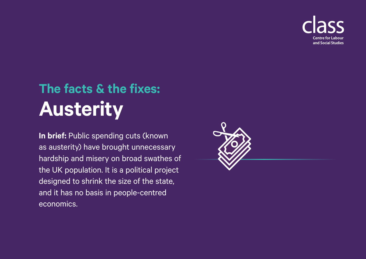

## **The facts & the fixes: Austerity**

**In brief:** Public spending cuts (known as austerity) have brought unnecessary hardship and misery on broad swathes of the UK population. It is a political project designed to shrink the size of the state, and it has no basis in people-centred economics.

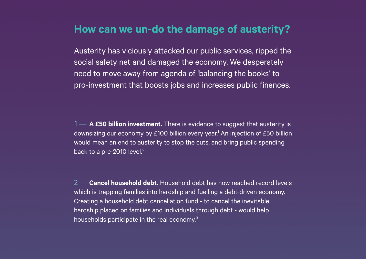## **How can we un-do the damage of austerity?**

Austerity has viciously attacked our public services, ripped the social safety net and damaged the economy. We desperately need to move away from agenda of 'balancing the books' to pro-investment that boosts jobs and increases public finances.

1— **A £50 billion investment.** There is evidence to suggest that austerity is downsizing our economy by £100 billion every year.<sup>1</sup> An injection of £50 billion would mean an end to austerity to stop the cuts, and bring public spending back to a pre-2010 level.<sup>2</sup>

2— **Cancel household debt.** Household debt has now reached record levels which is trapping families into hardship and fuelling a debt-driven economy. Creating a household debt cancellation fund - to cancel the inevitable hardship placed on families and individuals through debt - would help households participate in the real economy.3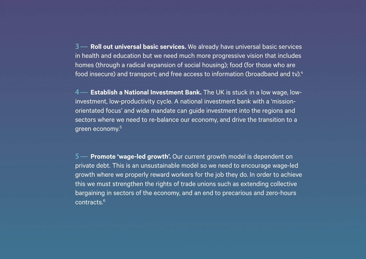3— **Roll out universal basic services.** We already have universal basic services in health and education but we need much more progressive vision that includes homes (through a radical expansion of social housing); food (for those who are food insecure) and transport; and free access to information (broadband and tv).<sup>4</sup>

4— **Establish a National Investment Bank.** The UK is stuck in a low wage, lowinvestment, low-productivity cycle. A national investment bank with a 'missionorientated focus' and wide mandate can guide investment into the regions and sectors where we need to re-balance our economy, and drive the transition to a green economy.5

5— **Promote 'wage-led growth'.** Our current growth model is dependent on private debt. This is an unsustainable model so we need to encourage wage-led growth where we properly reward workers for the job they do. In order to achieve this we must strengthen the rights of trade unions such as extending collective bargaining in sectors of the economy, and an end to precarious and zero-hours contracts.6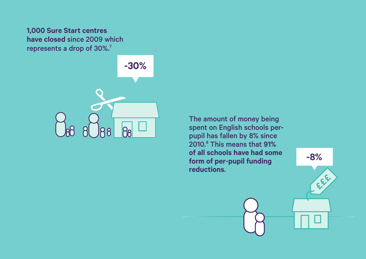## **1,000 Sure Start centres have closed** since 2009 which represents a drop of 30%.<sup>7</sup>



The amount of money being spent on English schools perpupil has fallen by 8% since 2010.8 This means that **91% of all schools have had some form of per-pupil funding reductions**.

**-8%**

FREE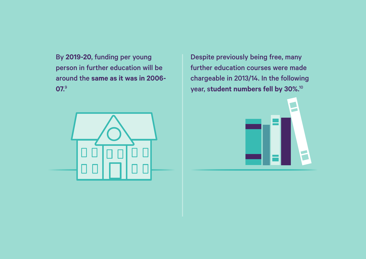By **2019-20**, funding per young person in further education will be around the **same as it was in 2006- 07**. 9



Despite previously being free, many further education courses were made chargeable in 2013/14. In the following year, s**tudent numbers fell by 30%**. 10

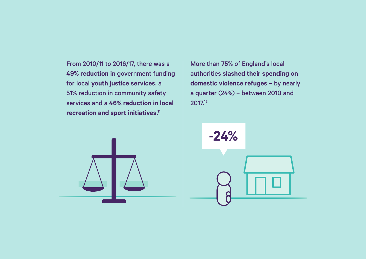From 2010/11 to 2016/17, there was a **49% reduction** in government funding for local **youth justice services**, a 51% reduction in community safety services and a **46% reduction in local recreation and sport initiatives**. 11

More than **75%** of England's local authorities **slashed their spending on domestic violence refuges** – by nearly a quarter (24%) – between 2010 and 2017.12



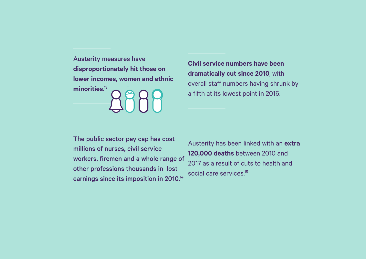Austerity measures have **disproportionately hit those on lower incomes, women and ethnic minorities**. 13

**Civil service numbers have been dramatically cut since 2010**, with overall staff numbers having shrunk by a fifth at its lowest point in 2016.

The public sector pay cap has cost millions of nurses, civil service workers, firemen and a whole range of other professions thousands in lost earnings since its imposition in 2010.<sup>14</sup>

Austerity has been linked with an **extra 120,000 deaths** between 2010 and 2017 as a result of cuts to health and social care services.<sup>15</sup>